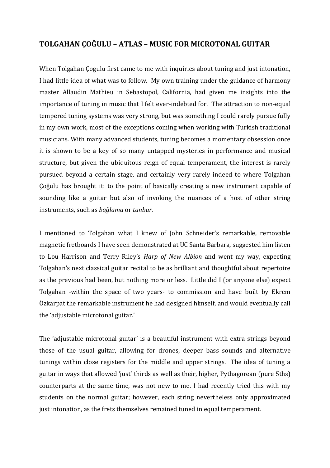## **TOLGAHAN ÇOĞULU – ATLAS – MUSIC FOR MICROTONAL GUITAR**

When Tolgahan Çogulu first came to me with inquiries about tuning and just intonation, I had little idea of what was to follow. My own training under the guidance of harmony master Allaudin Mathieu in Sebastopol, California, had given me insights into the importance of tuning in music that I felt ever-indebted for. The attraction to non-equal tempered tuning systems was very strong, but was something I could rarely pursue fully in my own work, most of the exceptions coming when working with Turkish traditional musicians. With many advanced students, tuning becomes a momentary obsession once it is shown to be a key of so many untapped mysteries in performance and musical structure, but given the ubiquitous reign of equal temperament, the interest is rarely pursued beyond a certain stage, and certainly very rarely indeed to where Tolgahan Çoğulu has brought it: to the point of basically creating a new instrument capable of sounding like a guitar but also of invoking the nuances of a host of other string instruments, such as *bağlama* or *tanbur.*

I mentioned to Tolgahan what I knew of John Schneider's remarkable, removable magnetic fretboards I have seen demonstrated at UC Santa Barbara, suggested him listen to Lou Harrison and Terry Riley's *Harp of New Albion* and went my way, expecting Tolgahan's next classical guitar recital to be as brilliant and thoughtful about repertoire as the previous had been, but nothing more or less. Little did I (or anyone else) expect Tolgahan -within the space of two years- to commission and have built by Ekrem Özkarpat the remarkable instrument he had designed himself, and would eventually call the 'adjustable microtonal guitar.'

The 'adjustable microtonal guitar' is a beautiful instrument with extra strings beyond those of the usual guitar, allowing for drones, deeper bass sounds and alternative tunings within close registers for the middle and upper strings. The idea of tuning a guitar in ways that allowed 'just' thirds as well as their, higher, Pythagorean (pure 5ths) counterparts at the same time, was not new to me. I had recently tried this with my students on the normal guitar; however, each string nevertheless only approximated just intonation, as the frets themselves remained tuned in equal temperament.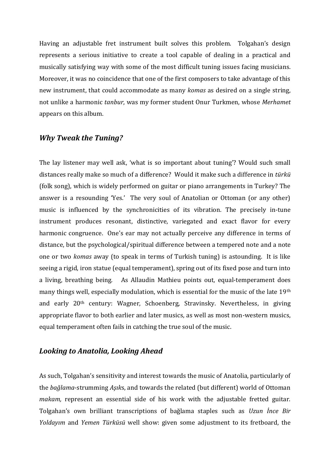Having an adjustable fret instrument built solves this problem. Tolgahan's design represents a serious initiative to create a tool capable of dealing in a practical and musically satisfying way with some of the most difficult tuning issues facing musicians. Moreover, it was no coincidence that one of the first composers to take advantage of this new instrument, that could accommodate as many *komas* as desired on a single string, not unlike a harmonic *tanbur*, was my former student Onur Turkmen, whose *Merhamet*  appears on this album.

## *Why Tweak the Tuning?*

The lay listener may well ask, 'what is so important about tuning'? Would such small distances really make so much of a difference? Would it make such a difference in *türkü* (folk song), which is widely performed on guitar or piano arrangements in Turkey? The answer is a resounding 'Yes.' The very soul of Anatolian or Ottoman (or any other) music is influenced by the synchronicities of its vibration. The precisely in-tune instrument produces resonant, distinctive, variegated and exact flavor for every harmonic congruence. One's ear may not actually perceive any difference in terms of distance, but the psychological/spiritual difference between a tempered note and a note one or two *komas* away (to speak in terms of Turkish tuning) is astounding. It is like seeing a rigid, iron statue (equal temperament), spring out of its fixed pose and turn into a living, breathing being. As Allaudin Mathieu points out, equal-temperament does many things well, especially modulation, which is essential for the music of the late 19th and early 20th century: Wagner, Schoenberg, Stravinsky. Nevertheless, in giving appropriate flavor to both earlier and later musics, as well as most non-western musics, equal temperament often fails in catching the true soul of the music.

## *Looking to Anatolia, Looking Ahead*

As such, Tolgahan's sensitivity and interest towards the music of Anatolia, particularly of the *bağlama*-strumming *Aşık*s, and towards the related (but different) world of Ottoman *makam,* represent an essential side of his work with the adjustable fretted guitar. Tolgahan's own brilliant transcriptions of bağlama staples such as *Uzun İnce Bir Yoldayım* and *Yemen Türküsü* well show: given some adjustment to its fretboard, the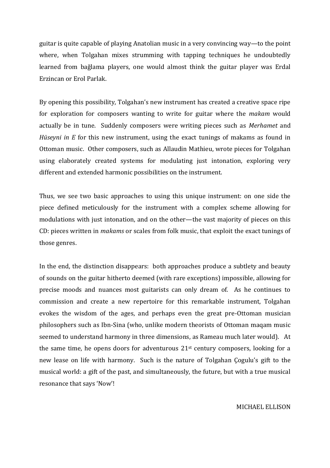guitar is quite capable of playing Anatolian music in a very convincing way—to the point where, when Tolgahan mixes strumming with tapping techniques he undoubtedly learned from bağlama players, one would almost think the guitar player was Erdal Erzincan or Erol Parlak.

By opening this possibility, Tolgahan's new instrument has created a creative space ripe for exploration for composers wanting to write for guitar where the *makam* would actually be in tune. Suddenly composers were writing pieces such as *Merhamet* and *Hüseyni in E* for this new instrument, using the exact tunings of makams as found in Ottoman music. Other composers, such as Allaudin Mathieu, wrote pieces for Tolgahan using elaborately created systems for modulating just intonation, exploring very different and extended harmonic possibilities on the instrument.

Thus, we see two basic approaches to using this unique instrument: on one side the piece defined meticulously for the instrument with a complex scheme allowing for modulations with just intonation, and on the other—the vast majority of pieces on this CD: pieces written in *makams* or scales from folk music, that exploit the exact tunings of those genres.

In the end, the distinction disappears: both approaches produce a subtlety and beauty of sounds on the guitar hitherto deemed (with rare exceptions) impossible, allowing for precise moods and nuances most guitarists can only dream of. As he continues to commission and create a new repertoire for this remarkable instrument, Tolgahan evokes the wisdom of the ages, and perhaps even the great pre-Ottoman musician philosophers such as Ibn-Sina (who, unlike modern theorists of Ottoman maqam music seemed to understand harmony in three dimensions, as Rameau much later would). At the same time, he opens doors for adventurous  $21<sup>st</sup>$  century composers, looking for a new lease on life with harmony. Such is the nature of Tolgahan Çogulu's gift to the musical world: a gift of the past, and simultaneously, the future, but with a true musical resonance that says 'Now'!

MICHAEL ELLISON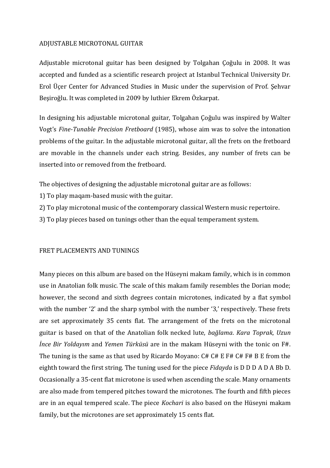### ADJUSTABLE MICROTONAL GUITAR

Adjustable microtonal guitar has been designed by Tolgahan Çoğulu in 2008. It was accepted and funded as a scientific research project at Istanbul Technical University Dr. Erol Üçer Center for Advanced Studies in Music under the supervision of Prof. Şehvar Beşiroğlu. It was completed in 2009 by luthier Ekrem Özkarpat.

In designing his adjustable microtonal guitar, Tolgahan Çoğulu was inspired by Walter Vogt's *Fine-Tunable Precision Fretboard* (1985), whose aim was to solve the intonation problems of the guitar. In the adjustable microtonal guitar, all the frets on the fretboard are movable in the channels under each string. Besides, any number of frets can be inserted into or removed from the fretboard.

The objectives of designing the adjustable microtonal guitar are as follows:

- 1) To play maqam-based music with the guitar.
- 2) To play microtonal music of the contemporary classical Western music repertoire.
- 3) To play pieces based on tunings other than the equal temperament system.

## FRET PLACEMENTS AND TUNINGS

Many pieces on this album are based on the Hüseyni makam family, which is in common use in Anatolian folk music. The scale of this makam family resembles the Dorian mode; however, the second and sixth degrees contain microtones, indicated by a flat symbol with the number '2' and the sharp symbol with the number '3,' respectively. These frets are set approximately 35 cents flat. The arrangement of the frets on the microtonal guitar is based on that of the Anatolian folk necked lute, *bağlama*. *Kara Toprak*, *Uzun İnce Bir Yoldayım* and *Yemen Türküsü* are in the makam Hüseyni with the tonic on F#. The tuning is the same as that used by Ricardo Moyano: C# C# E F# C# F# B E from the eighth toward the first string. The tuning used for the piece *Fidayda* is D D D A D A Bb D. Occasionally a 35-cent flat microtone is used when ascending the scale. Many ornaments are also made from tempered pitches toward the microtones. The fourth and fifth pieces are in an equal tempered scale. The piece *Kochari* is also based on the Hüseyni makam family, but the microtones are set approximately 15 cents flat.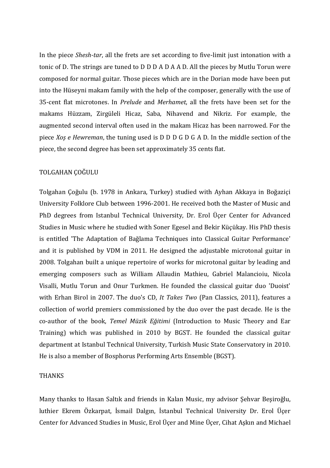In the piece *Shesh-tar*, all the frets are set according to five-limit just intonation with a tonic of D. The strings are tuned to D D D A D A A D. All the pieces by Mutlu Torun were composed for normal guitar. Those pieces which are in the Dorian mode have been put into the Hüseyni makam family with the help of the composer, generally with the use of 35-cent flat microtones. In *Prelude* and *Merhamet*, all the frets have been set for the makams Hüzzam, Zirgüleli Hicaz, Saba, Nihavend and Nikriz. For example, the augmented second interval often used in the makam Hicaz has been narrowed. For the piece *Xoş e Hewreman*, the tuning used is D D D G D G A D. In the middle section of the piece, the second degree has been set approximately 35 cents flat.

#### TOLGAHAN ÇOĞULU

Tolgahan Çoğulu (b. 1978 in Ankara, Turkey) studied with Ayhan Akkaya in Boğaziçi University Folklore Club between 1996-2001. He received both the Master of Music and PhD degrees from Istanbul Technical University, Dr. Erol Üçer Center for Advanced Studies in Music where he studied with Soner Egesel and Bekir Küçükay. His PhD thesis is entitled 'The Adaptation of Bağlama Techniques into Classical Guitar Performance' and it is published by VDM in 2011. He designed the adjustable microtonal guitar in 2008. Tolgahan built a unique repertoire of works for microtonal guitar by leading and emerging composers such as William Allaudin Mathieu, Gabriel Malancioiu, Nicola Visalli, Mutlu Torun and Onur Turkmen. He founded the classical guitar duo 'Duoist' with Erhan Birol in 2007. The duo's CD, *It Takes Two* (Pan Classics, 2011), features a collection of world premiers commissioned by the duo over the past decade. He is the co-author of the book, *Temel Müzik Eğitimi* (Introduction to Music Theory and Ear Training) which was published in 2010 by BGST. He founded the classical guitar department at Istanbul Technical University, Turkish Music State Conservatory in 2010. He is also a member of Bosphorus Performing Arts Ensemble (BGST).

#### THANKS

Many thanks to Hasan Saltık and friends in Kalan Music, my advisor Şehvar Beşiroğlu, luthier Ekrem Özkarpat, İsmail Dalgın, İstanbul Technical University Dr. Erol Üçer Center for Advanced Studies in Music, Erol Üçer and Mine Üçer, Cihat Aşkın and Michael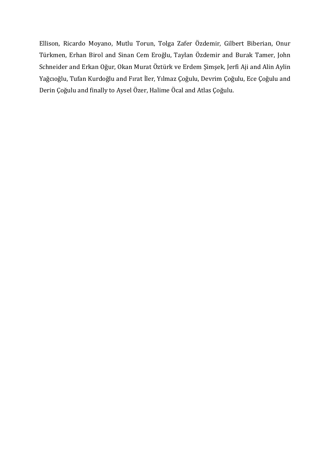Ellison, Ricardo Moyano, Mutlu Torun, Tolga Zafer Özdemir, Gilbert Biberian, Onur Türkmen, Erhan Birol and Sinan Cem Eroğlu, Taylan Özdemir and Burak Tamer, John Schneider and Erkan Oğur, Okan Murat Öztürk ve Erdem Şimşek, Jerfi Aji and Alin Aylin Yağcıoğlu, Tufan Kurdoğlu and Fırat İler, Yılmaz Çoğulu, Devrim Çoğulu, Ece Çoğulu and Derin Çoğulu and finally to Aysel Özer, Halime Öcal and Atlas Çoğulu.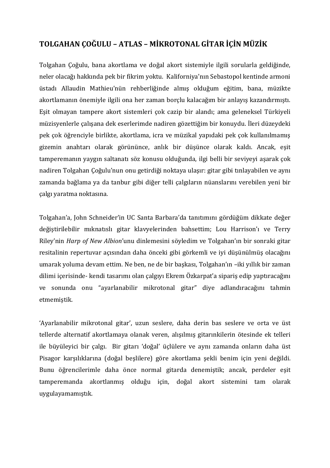# **TOLGAHAN ÇOĞULU – ATLAS – MİKROTONAL GİTAR İÇİN MÜZİK**

Tolgahan Çoğulu, bana akortlama ve doğal akort sistemiyle ilgili sorularla geldiğinde, neler olacağı hakkında pek bir fikrim yoktu. Kaliforniya'nın Sebastopol kentinde armoni üstadı Allaudin Mathieu'nün rehberliğinde almış olduğum eğitim, bana, müzikte akortlamanın önemiyle ilgili ona her zaman borçlu kalacağım bir anlayış kazandırmıştı. Eşit olmayan tampere akort sistemleri çok cazip bir alandı; ama geleneksel Türkiyeli müzisyenlerle çalışana dek eserlerimde nadiren gözettiğim bir konuydu. İleri düzeydeki pek çok öğrenciyle birlikte, akortlama, icra ve müzikal yapıdaki pek çok kullanılmamış gizemin anahtarı olarak görününce, anlık bir düşünce olarak kaldı. Ancak, eşit tamperemanın yaygın saltanatı söz konusu olduğunda, ilgi belli bir seviyeyi aşarak çok nadiren Tolgahan Çoğulu'nun onu getirdiği noktaya ulaşır: gitar gibi tınlayabilen ve aynı zamanda bağlama ya da tanbur gibi diğer telli çalgıların nüanslarını verebilen yeni bir çalgı yaratma noktasına*.*

Tolgahan'a, John Schneider'in UC Santa Barbara'da tanıtımını gördüğüm dikkate değer değiştirilebilir mıknatıslı gitar klavyelerinden bahsettim; Lou Harrison'ı ve Terry Riley'nin *Harp of New Albion*'unu dinlemesini söyledim ve Tolgahan'ın bir sonraki gitar resitalinin repertuvar açısından daha önceki gibi görkemli ve iyi düşünülmüş olacağını umarak yoluma devam ettim. Ne ben, ne de bir başkası, Tolgahan'ın –iki yıllık bir zaman dilimi içerisinde- kendi tasarımı olan çalgıyı Ekrem Özkarpat'a sipariş edip yaptıracağını ve sonunda onu "ayarlanabilir mikrotonal gitar" diye adlandıracağını tahmin etmemiştik.

'Ayarlanabilir mikrotonal gitar', uzun seslere, daha derin bas seslere ve orta ve üst tellerde alternatif akortlamaya olanak veren, alışılmış gitarınkilerin ötesinde ek telleri ile büyüleyici bir çalgı. Bir gitarı 'doğal' üçlülere ve aynı zamanda onların daha üst Pisagor karşılıklarına (doğal beşlilere) göre akortlama şekli benim için yeni değildi. Bunu öğrencilerimle daha önce normal gitarda denemiştik; ancak, perdeler eşit tamperemanda akortlanmış olduğu için, doğal akort sistemini tam olarak uygulayamamıştık.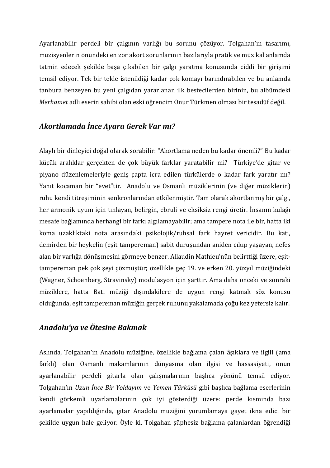Ayarlanabilir perdeli bir çalgının varlığı bu sorunu çözüyor. Tolgahan'ın tasarımı, müzisyenlerin önündeki en zor akort sorunlarının bazılarıyla pratik ve müzikal anlamda tatmin edecek şekilde başa çıkabilen bir çalgı yaratma konusunda ciddi bir girişimi temsil ediyor. Tek bir telde istenildiği kadar çok komayı barındırabilen ve bu anlamda tanbura benzeyen bu yeni çalgıdan yararlanan ilk bestecilerden birinin, bu albümdeki *Merhamet* adlı eserin sahibi olan eski öğrencim Onur Türkmen olması bir tesadüf değil.

## *Akortlamada İnce Ayara Gerek Var mı?*

Alaylı bir dinleyici doğal olarak sorabilir: "Akortlama neden bu kadar önemli?" Bu kadar küçük aralıklar gerçekten de çok büyük farklar yaratabilir mi? Türkiye'de gitar ve piyano düzenlemeleriyle geniş çapta icra edilen türkülerde o kadar fark yaratır mı? Yanıt kocaman bir "evet"tir. Anadolu ve Osmanlı müziklerinin (ve diğer müziklerin) ruhu kendi titreşiminin senkronlarından etkilenmiştir. Tam olarak akortlanmış bir çalgı, her armonik uyum için tınlayan, belirgin, ebruli ve eksiksiz rengi üretir. İnsanın kulağı mesafe bağlamında herhangi bir farkı algılamayabilir; ama tampere nota ile bir, hatta iki koma uzaklıktaki nota arasındaki psikolojik/ruhsal fark hayret vericidir. Bu katı, demirden bir heykelin (eşit tampereman) sabit duruşundan aniden çıkıp yaşayan, nefes alan bir varlığa dönüşmesini görmeye benzer. Allaudin Mathieu'nün belirttiği üzere, eşittampereman pek çok şeyi çözmüştür; özellikle geç 19. ve erken 20. yüzyıl müziğindeki (Wagner, Schoenberg, Stravinsky) modülasyon için şarttır. Ama daha önceki ve sonraki müziklere, hatta Batı müziği dışındakilere de uygun rengi katmak söz konusu olduğunda, eşit tampereman müziğin gerçek ruhunu yakalamada çoğu kez yetersiz kalır.

## *Anadolu'ya ve Ötesine Bakmak*

Aslında, Tolgahan'ın Anadolu müziğine, özellikle bağlama çalan âşıklara ve ilgili (ama farklı) olan Osmanlı makamlarının dünyasına olan ilgisi ve hassasiyeti, onun ayarlanabilir perdeli gitarla olan çalışmalarının başlıca yönünü temsil ediyor. Tolgahan'ın *Uzun İnce Bir Yoldayım* ve *Yemen Türküsü* gibi başlıca bağlama eserlerinin kendi görkemli uyarlamalarının çok iyi gösterdiği üzere: perde kısmında bazı ayarlamalar yapıldığında, gitar Anadolu müziğini yorumlamaya gayet ikna edici bir şekilde uygun hale geliyor. Öyle ki, Tolgahan şüphesiz bağlama çalanlardan öğrendiği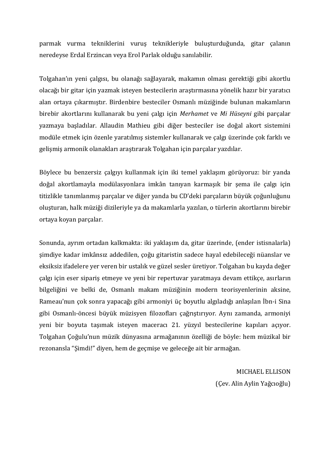parmak vurma tekniklerini vuruş teknikleriyle buluşturduğunda, gitar çalanın neredeyse Erdal Erzincan veya Erol Parlak olduğu sanılabilir.

Tolgahan'ın yeni çalgısı, bu olanağı sağlayarak, makamın olması gerektiği gibi akortlu olacağı bir gitar için yazmak isteyen bestecilerin araştırmasına yönelik hazır bir yaratıcı alan ortaya çıkarmıştır. Birdenbire besteciler Osmanlı müziğinde bulunan makamların birebir akortlarını kullanarak bu yeni çalgı için *Merhamet* ve *Mi Hüseyni* gibi parçalar yazmaya başladılar. Allaudin Mathieu gibi diğer besteciler ise doğal akort sistemini modüle etmek için özenle yaratılmış sistemler kullanarak ve çalgı üzerinde çok farklı ve gelişmiş armonik olanakları araştırarak Tolgahan için parçalar yazdılar.

Böylece bu benzersiz çalgıyı kullanmak için iki temel yaklaşım görüyoruz: bir yanda doğal akortlamayla modülasyonlara imkân tanıyan karmaşık bir şema ile çalgı için titizlikle tanımlanmış parçalar ve diğer yanda bu CD'deki parçaların büyük çoğunluğunu oluşturan, halk müziği dizileriyle ya da makamlarla yazılan, o türlerin akortlarını birebir ortaya koyan parçalar.

Sonunda, ayrım ortadan kalkmakta: iki yaklaşım da, gitar üzerinde, (ender istisnalarla) şimdiye kadar imkânsız addedilen, çoğu gitaristin sadece hayal edebileceği nüanslar ve eksiksiz ifadelere yer veren bir ustalık ve güzel sesler üretiyor. Tolgahan bu kayda değer çalgı için eser sipariş etmeye ve yeni bir repertuvar yaratmaya devam ettikçe, asırların bilgeliğini ve belki de, Osmanlı makam müziğinin modern teorisyenlerinin aksine, Rameau'nun çok sonra yapacağı gibi armoniyi üç boyutlu algıladığı anlaşılan İbn-i Sina gibi Osmanlı-öncesi büyük müzisyen filozofları çağrıştırıyor. Aynı zamanda, armoniyi yeni bir boyuta taşımak isteyen maceracı 21. yüzyıl bestecilerine kapıları açıyor. Tolgahan Çoğulu'nun müzik dünyasına armağanının özelliği de böyle: hem müzikal bir rezonansla "Şimdi!" diyen, hem de geçmişe ve geleceğe ait bir armağan.

> MICHAEL ELLISON (Çev. Alin Aylin Yağcıoğlu)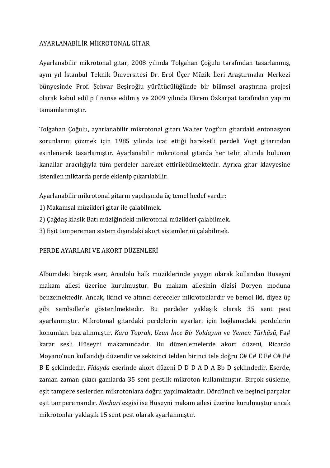## AYARLANABİLİR MİKROTONAL GİTAR

Ayarlanabilir mikrotonal gitar, 2008 yılında Tolgahan Çoğulu tarafından tasarlanmış, aynı yıl İstanbul Teknik Üniversitesi Dr. Erol Üçer Müzik İleri Araştırmalar Merkezi bünyesinde Prof. Şehvar Beşiroğlu yürütücülüğünde bir bilimsel araştırma projesi olarak kabul edilip finanse edilmiş ve 2009 yılında Ekrem Özkarpat tarafından yapımı tamamlanmıştır.

Tolgahan Çoğulu, ayarlanabilir mikrotonal gitarı Walter Vogt'un gitardaki entonasyon sorunlarını çözmek için 1985 yılında icat ettiği hareketli perdeli Vogt gitarından esinlenerek tasarlamıştır. Ayarlanabilir mikrotonal gitarda her telin altında bulunan kanallar aracılığıyla tüm perdeler hareket ettirilebilmektedir. Ayrıca gitar klavyesine istenilen miktarda perde eklenip çıkarılabilir.

Ayarlanabilir mikrotonal gitarın yapılışında üç temel hedef vardır:

- 1) Makamsal müzikleri gitar ile çalabilmek.
- 2) Çağdaş klasik Batı müziğindeki mikrotonal müzikleri çalabilmek.
- 3) Eşit tampereman sistem dışındaki akort sistemlerini çalabilmek.

## PERDE AYARLARI VE AKORT DÜZENLERİ

Albümdeki birçok eser, Anadolu halk müziklerinde yaygın olarak kullanılan Hüseyni makam ailesi üzerine kurulmuştur. Bu makam ailesinin dizisi Doryen moduna benzemektedir. Ancak, ikinci ve altıncı dereceler mikrotonlardır ve bemol iki, diyez üç gibi sembollerle gösterilmektedir. Bu perdeler yaklaşık olarak 35 sent pest ayarlanmıştır. Mikrotonal gitardaki perdelerin ayarları için bağlamadaki perdelerin konumları baz alınmıştır. *Kara Toprak*, *Uzun İnce Bir Yoldayım* ve *Yemen Türküsü*, Fa# karar sesli Hüseyni makamındadır. Bu düzenlemelerde akort düzeni, Ricardo Moyano'nun kullandığı düzendir ve sekizinci telden birinci tele doğru C# C# E F# C# F# B E şeklindedir. *Fidayda* eserinde akort düzeni D D D A D A Bb D şeklindedir. Eserde, zaman zaman çıkıcı gamlarda 35 sent pestlik mikroton kullanılmıştır. Birçok süsleme, eşit tampere seslerden mikrotonlara doğru yapılmaktadır. Dördüncü ve beşinci parçalar eşit tamperemandır. *Kochari* ezgisi ise Hüseyni makam ailesi üzerine kurulmuştur ancak mikrotonlar yaklaşık 15 sent pest olarak ayarlanmıştır.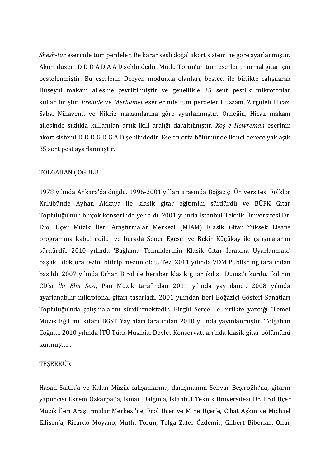*Shesh-tar* eserinde tüm perdeler, Re karar sesli doğal akort sistemine göre ayarlanmıştır. Akort düzeni D D D A D A A D şeklindedir. Mutlu Torun'un tüm eserleri, normal gitar için bestelenmiştir. Bu eserlerin Doryen modunda olanları, besteci ile birlikte çalışılarak Hüseyni makam ailesine çevriltilmiştir ve genellikle 35 sent pestlik mikrotonlar kullanılmıştır. *Prelude* ve *Merhamet* eserlerinde tüm perdeler Hüzzam, Zirgüleli Hicaz, Saba, Nihavend ve Nikriz makamlarına göre ayarlanmıştır. Örneğin, Hicaz makam ailesinde sıklıkla kullanılan artık ikili aralığı daraltılmıştır. *Xoş e Hewreman* eserinin akort sistemi D D D G D G A D şeklindedir. Eserin orta bölümünde ikinci derece yaklaşık 35 sent pest ayarlanmıştır.

#### TOLGAHAN ÇOĞULU

1978 yılında Ankara'da doğdu. 1996-2001 yılları arasında Boğaziçi Üniversitesi Folklor Kulübünde Ayhan Akkaya ile klasik gitar eğitimini sürdürdü ve BÜFK Gitar Topluluğu'nun birçok konserinde yer aldı. 2001 yılında İstanbul Teknik Üniversitesi Dr. Erol Üçer Müzik İleri Araştırmalar Merkezi (MİAM) Klasik Gitar Yüksek Lisans programına kabul edildi ve burada Soner Egesel ve Bekir Küçükay ile çalışmalarını sürdürdü. 2010 yılında 'Bağlama Tekniklerinin Klasik Gitar İcrasına Uyarlanması' başlıklı doktora tezini bitirip mezun oldu. Tez, 2011 yılında VDM Publishing tarafından basıldı. 2007 yılında Erhan Birol ile beraber klasik gitar ikilisi 'Duoist'i kurdu. İkilinin CD'si *İki Elin Sesi*, Pan Müzik tarafından 2011 yılında yayınlandı. 2008 yılında ayarlanabilir mikrotonal gitarı tasarladı. 2001 yılından beri Boğaziçi Gösteri Sanatları Topluluğu'nda çalışmalarını sürdürmektedir. Birgül Serçe ile birlikte yazdığı 'Temel Müzik Eğitimi' kitabı BGST Yayınları tarafından 2010 yılında yayınlanmıştır. Tolgahan Çoğulu, 2010 yılında İTÜ Türk Musikisi Devlet Konservatuarı'nda klasik gitar bölümünü kurmuştur.

#### TEŞEKKÜR

Hasan Saltık'a ve Kalan Müzik çalışanlarına, danışmanım Şehvar Beşiroğlu'na, gitarın yapımcısı Ekrem Özkarpat'a, İsmail Dalgın'a, İstanbul Teknik Üniversitesi Dr. Erol Üçer Müzik İleri Araştırmalar Merkezi'ne, Erol Üçer ve Mine Üçer'e, Cihat Aşkın ve Michael Ellison'a, Ricardo Moyano, Mutlu Torun, Tolga Zafer Özdemir, Gilbert Biberian, Onur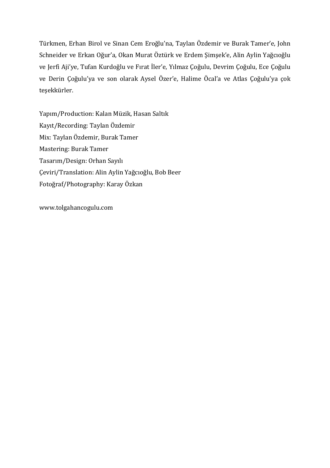Türkmen, Erhan Birol ve Sinan Cem Eroğlu'na, Taylan Özdemir ve Burak Tamer'e, John Schneider ve Erkan Oğur'a, Okan Murat Öztürk ve Erdem Şimşek'e, Alin Aylin Yağcıoğlu ve Jerfi Aji'ye, Tufan Kurdoğlu ve Fırat İler'e, Yılmaz Çoğulu, Devrim Çoğulu, Ece Çoğulu ve Derin Çoğulu'ya ve son olarak Aysel Özer'e, Halime Öcal'a ve Atlas Çoğulu'ya çok teşekkürler.

Yapım/Production: Kalan Müzik, Hasan Saltık Kayıt/Recording: Taylan Özdemir Mix: Taylan Özdemir, Burak Tamer Mastering: Burak Tamer Tasarım/Design: Orhan Sayılı Çeviri/Translation: Alin Aylin Yağcıoğlu, Bob Beer Fotoğraf/Photography: Karay Özkan

www.tolgahancogulu.com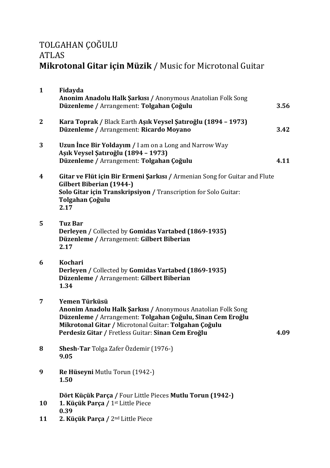# TOLGAHAN ÇOĞULU ATLAS **Mikrotonal Gitar için Müzik** / Music for Microtonal Guitar

| $\mathbf{1}$ | Fidayda<br>Anonim Anadolu Halk Şarkısı / Anonymous Anatolian Folk Song<br>Düzenleme / Arrangement: Tolgahan Çoğulu                                                                                                                                        | 3.56 |
|--------------|-----------------------------------------------------------------------------------------------------------------------------------------------------------------------------------------------------------------------------------------------------------|------|
| $\mathbf{2}$ | Kara Toprak / Black Earth Aşık Veysel Şatıroğlu (1894 - 1973)<br>Düzenleme / Arrangement: Ricardo Moyano                                                                                                                                                  | 3.42 |
| 3            | <b>Uzun Ince Bir Yoldayim / I am on a Long and Narrow Way</b><br>Aşık Veysel Şatıroğlu (1894 - 1973)<br>Düzenleme / Arrangement: Tolgahan Çoğulu                                                                                                          | 4.11 |
| 4            | Gitar ve Flüt için Bir Ermeni Şarkısı / Armenian Song for Guitar and Flute<br><b>Gilbert Biberian (1944-)</b><br>Solo Gitar için Transkripsiyon / Transcription for Solo Guitar:<br>Tolgahan Çoğulu<br>2.17                                               |      |
| 5            | <b>Tuz Bar</b><br>Derleyen / Collected by Gomidas Vartabed (1869-1935)<br>Düzenleme / Arrangement: Gilbert Biberian<br>2.17                                                                                                                               |      |
| 6            | Kochari<br>Derleyen / Collected by Gomidas Vartabed (1869-1935)<br>Düzenleme / Arrangement: Gilbert Biberian<br>1.34                                                                                                                                      |      |
| 7            | Yemen Türküsü<br>Anonim Anadolu Halk Şarkısı / Anonymous Anatolian Folk Song<br>Düzenleme / Arrangement: Tolgahan Çoğulu, Sinan Cem Eroğlu<br>Mikrotonal Gitar / Microtonal Guitar: Tolgahan Çoğulu<br>Perdesiz Gitar / Fretless Guitar: Sinan Cem Eroğlu | 4.09 |
| 8            | Shesh-Tar Tolga Zafer Özdemir (1976-)<br>9.05                                                                                                                                                                                                             |      |
| 9            | Re Hüseyni Mutlu Torun (1942-)<br>1.50                                                                                                                                                                                                                    |      |
| 10           | Dört Küçük Parça / Four Little Pieces Mutlu Torun (1942-)<br>1. Küçük Parça / 1 <sup>st</sup> Little Piece<br>0.39                                                                                                                                        |      |
| 11           | 2. Küçük Parça / 2 <sup>nd</sup> Little Piece                                                                                                                                                                                                             |      |